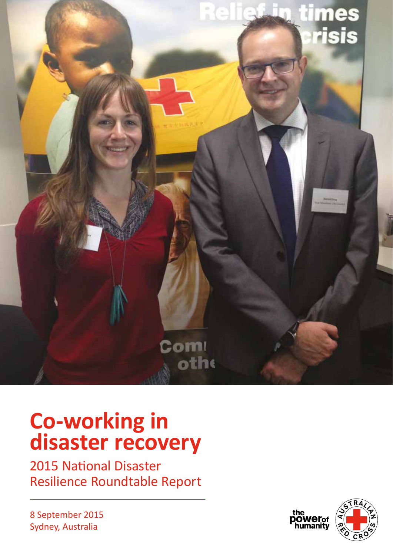

# **Co-working in disaster recovery**

2015 National Disaster Resilience Roundtable Report

8 September 2015 Sydney, Australia



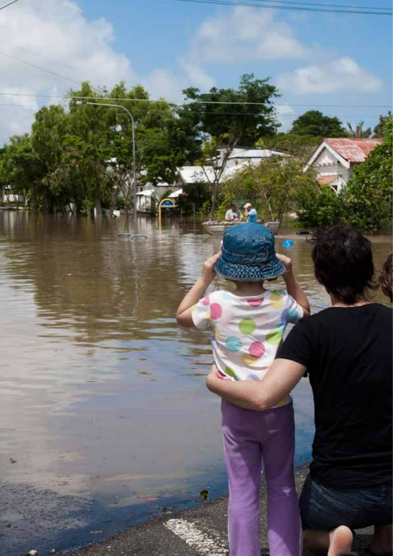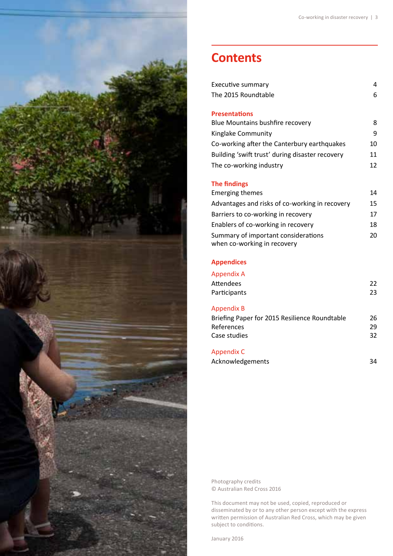

# **Contents**

| <b>Executive summary</b>                                           | 4  |
|--------------------------------------------------------------------|----|
| The 2015 Roundtable                                                | 6  |
|                                                                    |    |
| <b>Presentations</b>                                               |    |
| Blue Mountains bushfire recovery                                   | 8  |
| Kinglake Community                                                 | ٩  |
| Co-working after the Canterbury earthquakes                        | 10 |
| Building 'swift trust' during disaster recovery                    | 11 |
| The co-working industry                                            | 12 |
|                                                                    |    |
| <b>The findings</b>                                                |    |
| <b>Emerging themes</b>                                             | 14 |
| Advantages and risks of co-working in recovery                     | 15 |
| Barriers to co-working in recovery                                 | 17 |
| Enablers of co-working in recovery                                 | 18 |
| Summary of important considerations<br>when co-working in recovery | 20 |
| <b>Appendices</b>                                                  |    |
| <b>Appendix A</b>                                                  |    |
| Attendees                                                          | 22 |
| Participants                                                       | 23 |
| <b>Appendix B</b>                                                  |    |
| Briefing Paper for 2015 Resilience Roundtable                      | 26 |
| References                                                         | 29 |
| Case studies                                                       | 32 |
| <b>Appendix C</b>                                                  |    |
| Acknowledgements                                                   | 34 |
|                                                                    |    |

Photography credits © Australian Red Cross 2016

This document may not be used, copied, reproduced or disseminated by or to any other person except with the express written permission of Australian Red Cross, which may be given subject to conditions.

January 2016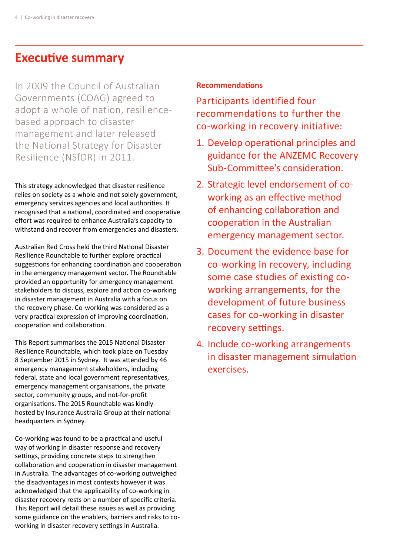# **Executive summary**

In 2009 the Council of Australian Governments (COAG) agreed to adopt a whole of nation, resiliencebased approach to disaster management and later released the National Strategy for Disaster Resilience (NSfDR) in 2011.

This strategy acknowledged that disaster resilience relies on society as a whole and not solely government, emergency services agencies and local authorities. It recognised that a national, coordinated and cooperative effort was required to enhance Australia's capacity to withstand and recover from emergencies and disasters.

Australian Red Cross held the third National Disaster Resilience Roundtable to further explore practical suggestions for enhancing coordination and cooperation in the emergency management sector. The Roundtable provided an opportunity for emergency management stakeholders to discuss, explore and action co-working in disaster management in Australia with a focus on the recovery phase. Co-working was considered as a very practical expression of improving coordination, cooperation and collaboration.

This Report summarises the 2015 National Disaster Resilience Roundtable, which took place on Tuesday 8 September 2015 in Sydney. It was attended by 46 emergency management stakeholders, including federal, state and local government representatives, emergency management organisations, the private sector, community groups, and not-for-profit organisations. The 2015 Roundtable was kindly hosted by Insurance Australia Group at their national headquarters in Sydney.

Co-working was found to be a practical and useful way of working in disaster response and recovery settings, providing concrete steps to strengthen collaboration and cooperation in disaster management in Australia. The advantages of co-working outweighed the disadvantages in most contexts however it was acknowledged that the applicability of co-working in disaster recovery rests on a number of specific criteria. This Report will detail these issues as well as providing some guidance on the enablers, barriers and risks to coworking in disaster recovery settings in Australia.

# **Recommendations**

Participants identified four recommendations to further the co-working in recovery initiative:

- 1. Develop operational principles and guidance for the ANZEMC Recovery Sub-Committee's consideration.
- 2. Strategic level endorsement of coworking as an effective method of enhancing collaboration and cooperation in the Australian emergency management sector.
- 3. Document the evidence base for co-working in recovery, including some case studies of existing coworking arrangements, for the development of future business cases for co-working in disaster recovery settings.
- 4. Include co-working arrangements in disaster management simulation exercises.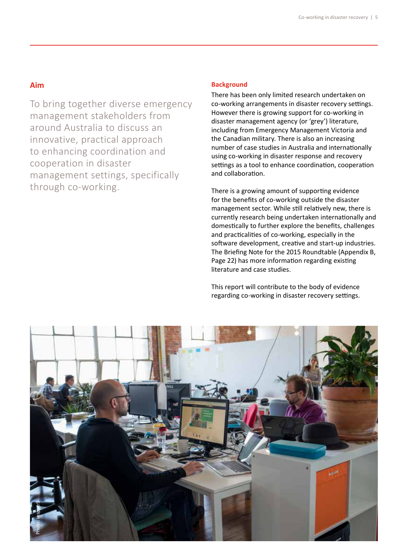# **Aim**

To bring together diverse emergency management stakeholders from around Australia to discuss an innovative, practical approach to enhancing coordination and cooperation in disaster management settings, specifically through co-working.

## **Background**

There has been only limited research undertaken on co-working arrangements in disaster recovery settings. However there is growing support for co-working in disaster management agency (or 'grey') literature, including from Emergency Management Victoria and the Canadian military. There is also an increasing number of case studies in Australia and internationally using co-working in disaster response and recovery settings as a tool to enhance coordination, cooperation and collaboration.

There is a growing amount of supporting evidence for the benefits of co-working outside the disaster management sector. While still relatively new, there is currently research being undertaken internationally and domestically to further explore the benefits, challenges and practicalities of co-working, especially in the software development, creative and start-up industries. The Briefing Note for the 2015 Roundtable (Appendix B, Page 22) has more information regarding existing literature and case studies.

This report will contribute to the body of evidence regarding co-working in disaster recovery settings.

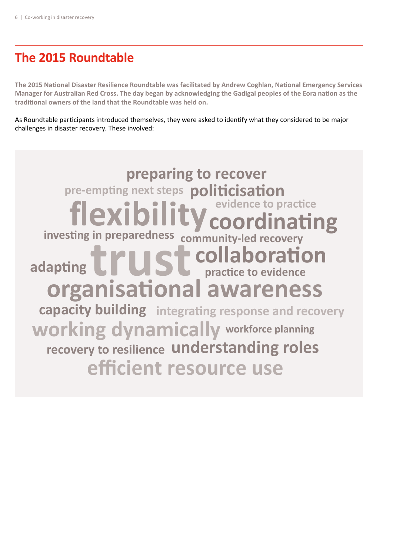# **The 2015 Roundtable**

**The 2015 National Disaster Resilience Roundtable was facilitated by Andrew Coghlan, National Emergency Services Manager for Australian Red Cross. The day began by acknowledging the Gadigal peoples of the Eora nation as the traditional owners of the land that the Roundtable was held on.**

As Roundtable participants introduced themselves, they were asked to identify what they considered to be major challenges in disaster recovery. These involved:

# **trust** flexibility pre-empting next steps politicisation **efficient resource use** capacity building integrating response and recovery **adapting trust St collaboration coordinating recovery to resilience understanding roles investing in preparedness community-led recovery evidence to practice working dynamically workforce planning preparing to recover adapting LTUST CONTROOTATION**<br> **organisational awareness**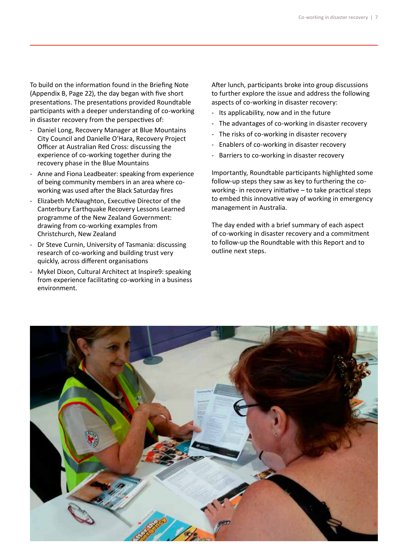To build on the information found in the Briefing Note (Appendix B, Page 22), the day began with five short presentations. The presentations provided Roundtable participants with a deeper understanding of co-working in disaster recovery from the perspectives of:

- Daniel Long, Recovery Manager at Blue Mountains City Council and Danielle O'Hara, Recovery Project Officer at Australian Red Cross: discussing the experience of co-working together during the recovery phase in the Blue Mountains
- Anne and Fiona Leadbeater: speaking from experience of being community members in an area where coworking was used after the Black Saturday fires
- Elizabeth McNaughton, Executive Director of the Canterbury Earthquake Recovery Lessons Learned programme of the New Zealand Government: drawing from co-working examples from Christchurch, New Zealand
- Dr Steve Curnin, University of Tasmania: discussing research of co-working and building trust very quickly, across different organisations
- Mykel Dixon, Cultural Architect at Inspire9: speaking from experience facilitating co-working in a business environment.

After lunch, participants broke into group discussions to further explore the issue and address the following aspects of co-working in disaster recovery:

- Its applicability, now and in the future
- The advantages of co-working in disaster recovery
- The risks of co-working in disaster recovery
- Enablers of co-working in disaster recovery
- Barriers to co-working in disaster recovery

Importantly, Roundtable participants highlighted some follow-up steps they saw as key to furthering the coworking- in recovery initiative – to take practical steps to embed this innovative way of working in emergency management in Australia.

The day ended with a brief summary of each aspect of co-working in disaster recovery and a commitment to follow-up the Roundtable with this Report and to outline next steps.

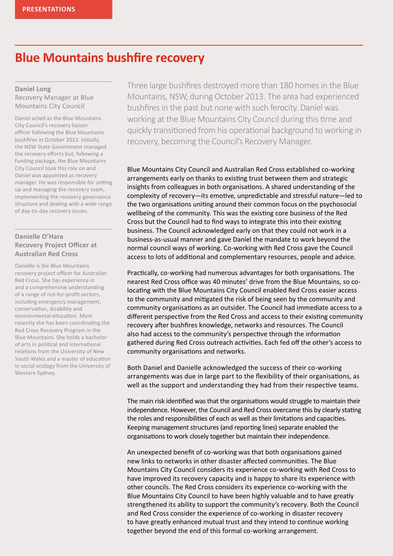# **Blue Mountains bushfire recovery**

## **Daniel Long**

Recovery Manager at Blue Mountains City Council

Daniel acted as the Blue Mountains City Council's recovery liaison officer following the Blue Mountains bushfires in October 2013. Initially, the NSW State Government managed the recovery efforts but, following a funding package, the Blue Mountains City Council took this role on and Daniel was appointed as recovery manager. He was responsible for setting up and managing the recovery team, implementing the recovery governance structure and dealing with a wide range of day-to-day recovery issues.

## **Danielle O'Hara Recovery Project Officer at Australian Red Cross**

Danielle is the Blue Mountains recovery project officer for Australian Red Cross. She has experience in and a comprehensive understanding of a range of not-for-profit sectors, including emergency management, conservation, disability and environmental education. Most recently she has been coordinating the Red Cross Recovery Program in the Blue Mountains. She holds a bachelor of arts in political and international relations from the University of New South Wales and a master of education in social ecology from the University of Western Sydney.

Three large bushfires destroyed more than 180 homes in the Blue Mountains, NSW, during October 2013. The area had experienced bushfires in the past but none with such ferocity. Daniel was working at the Blue Mountains City Council during this time and quickly transitioned from his operational background to working in recovery, becoming the Council's Recovery Manager.

Blue Mountains City Council and Australian Red Cross established co-working arrangements early on thanks to existing trust between them and strategic insights from colleagues in both organisations. A shared understanding of the complexity of recovery—its emotive, unpredictable and stressful nature—led to the two organisations uniting around their common focus on the psychosocial wellbeing of the community. This was the existing core business of the Red Cross but the Council had to find ways to integrate this into their existing business. The Council acknowledged early on that they could not work in a business-as-usual manner and gave Daniel the mandate to work beyond the normal council ways of working. Co-working with Red Cross gave the Council access to lots of additional and complementary resources, people and advice.

Practically, co-working had numerous advantages for both organisations. The nearest Red Cross office was 40 minutes' drive from the Blue Mountains, so colocating with the Blue Mountains City Council enabled Red Cross easier access to the community and mitigated the risk of being seen by the community and community organisations as an outsider. The Council had immediate access to a different perspective from the Red Cross and access to their existing community recovery after bushfires knowledge, networks and resources. The Council also had access to the community's perspective through the information gathered during Red Cross outreach activities. Each fed off the other's access to community organisations and networks.

Both Daniel and Danielle acknowledged the success of their co-working arrangements was due in large part to the flexibility of their organisations, as well as the support and understanding they had from their respective teams.

The main risk identified was that the organisations would struggle to maintain their independence. However, the Council and Red Cross overcame this by clearly stating the roles and responsibilities of each as well as their limitations and capacities. Keeping management structures (and reporting lines) separate enabled the organisations to work closely together but maintain their independence.

An unexpected benefit of co-working was that both organisations gained new links to networks in other disaster affected communities. The Blue Mountains City Council considers its experience co-working with Red Cross to have improved its recovery capacity and is happy to share its experience with other councils. The Red Cross considers its experience co-working with the Blue Mountains City Council to have been highly valuable and to have greatly strengthened its ability to support the community's recovery. Both the Council and Red Cross consider the experience of co-working in disaster recovery to have greatly enhanced mutual trust and they intend to continue working together beyond the end of this formal co-working arrangement.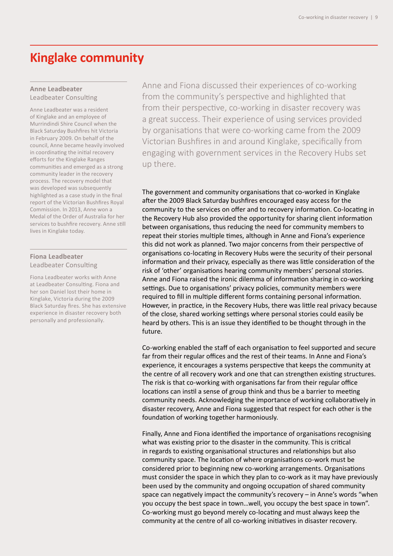# **Kinglake community**

## **Anne Leadbeater** Leadbeater Consulting

Anne Leadbeater was a resident of Kinglake and an employee of Murrindindi Shire Council when the Black Saturday Bushfires hit Victoria in February 2009. On behalf of the council, Anne became heavily involved in coordinating the initial recovery efforts for the Kinglake Ranges communities and emerged as a strong community leader in the recovery process. The recovery model that was developed was subsequently highlighted as a case study in the final report of the Victorian Bushfires Royal Commission. In 2013, Anne won a Medal of the Order of Australia for her services to bushfire recovery. Anne still lives in Kinglake today.

## **Fiona Leadbeater** Leadbeater Consulting

Fiona Leadbeater works with Anne at Leadbeater Consulting. Fiona and her son Daniel lost their home in Kinglake, Victoria during the 2009 Black Saturday fires. She has extensive experience in disaster recovery both personally and professionally.

Anne and Fiona discussed their experiences of co-working from the community's perspective and highlighted that from their perspective, co-working in disaster recovery was a great success. Their experience of using services provided by organisations that were co-working came from the 2009 Victorian Bushfires in and around Kinglake, specifically from engaging with government services in the Recovery Hubs set up there.

The government and community organisations that co-worked in Kinglake after the 2009 Black Saturday bushfires encouraged easy access for the community to the services on offer and to recovery information. Co-locating in the Recovery Hub also provided the opportunity for sharing client information between organisations, thus reducing the need for community members to repeat their stories multiple times, although in Anne and Fiona's experience this did not work as planned. Two major concerns from their perspective of organisations co-locating in Recovery Hubs were the security of their personal information and their privacy, especially as there was little consideration of the risk of 'other' organisations hearing community members' personal stories. Anne and Fiona raised the ironic dilemma of information sharing in co-working settings. Due to organisations' privacy policies, community members were required to fill in multiple different forms containing personal information. However, in practice, in the Recovery Hubs, there was little real privacy because of the close, shared working settings where personal stories could easily be heard by others. This is an issue they identified to be thought through in the future.

Co-working enabled the staff of each organisation to feel supported and secure far from their regular offices and the rest of their teams. In Anne and Fiona's experience, it encourages a systems perspective that keeps the community at the centre of all recovery work and one that can strengthen existing structures. The risk is that co-working with organisations far from their regular office locations can instil a sense of group think and thus be a barrier to meeting community needs. Acknowledging the importance of working collaboratively in disaster recovery, Anne and Fiona suggested that respect for each other is the foundation of working together harmoniously.

Finally, Anne and Fiona identified the importance of organisations recognising what was existing prior to the disaster in the community. This is critical in regards to existing organisational structures and relationships but also community space. The location of where organisations co-work must be considered prior to beginning new co-working arrangements. Organisations must consider the space in which they plan to co-work as it may have previously been used by the community and ongoing occupation of shared community space can negatively impact the community's recovery – in Anne's words "when you occupy the best space in town…well, you occupy the best space in town". Co-working must go beyond merely co-locating and must always keep the community at the centre of all co-working initiatives in disaster recovery.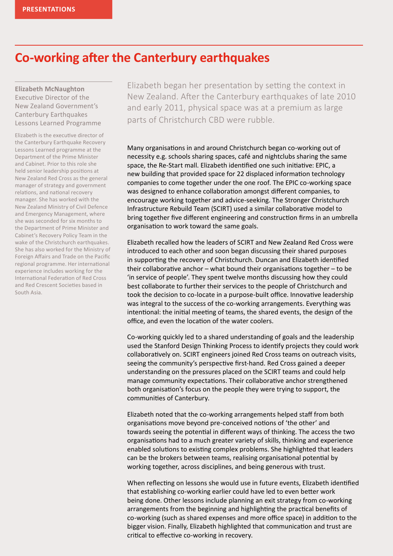# **Co-working after the Canterbury earthquakes**

**Elizabeth McNaughton** Executive Director of the New Zealand Government's Canterbury Earthquakes Lessons Learned Programme

Elizabeth is the executive director of the Canterbury Earthquake Recovery Lessons Learned programme at the Department of the Prime Minister and Cabinet. Prior to this role she held senior leadership positions at New Zealand Red Cross as the general manager of strategy and government relations, and national recovery manager. She has worked with the New Zealand Ministry of Civil Defence and Emergency Management, where she was seconded for six months to the Department of Prime Minister and Cabinet's Recovery Policy Team in the wake of the Christchurch earthquakes. She has also worked for the Ministry of Foreign Affairs and Trade on the Pacific regional programme. Her international experience includes working for the International Federation of Red Cross and Red Crescent Societies based in South Asia.

Elizabeth began her presentation by setting the context in New Zealand. After the Canterbury earthquakes of late 2010 and early 2011, physical space was at a premium as large parts of Christchurch CBD were rubble.

Many organisations in and around Christchurch began co-working out of necessity e.g. schools sharing spaces, café and nightclubs sharing the same space, the Re-Start mall. Elizabeth identified one such initiative: EPIC, a new building that provided space for 22 displaced information technology companies to come together under the one roof. The EPIC co-working space was designed to enhance collaboration amongst different companies, to encourage working together and advice-seeking. The Stronger Christchurch Infrastructure Rebuild Team (SCIRT) used a similar collaborative model to bring together five different engineering and construction firms in an umbrella organisation to work toward the same goals.

Elizabeth recalled how the leaders of SCIRT and New Zealand Red Cross were introduced to each other and soon began discussing their shared purposes in supporting the recovery of Christchurch. Duncan and Elizabeth identified their collaborative anchor – what bound their organisations together – to be 'in service of people'. They spent twelve months discussing how they could best collaborate to further their services to the people of Christchurch and took the decision to co-locate in a purpose-built office. Innovative leadership was integral to the success of the co-working arrangements. Everything was intentional: the initial meeting of teams, the shared events, the design of the office, and even the location of the water coolers.

Co-working quickly led to a shared understanding of goals and the leadership used the Stanford Design Thinking Process to identify projects they could work collaboratively on. SCIRT engineers joined Red Cross teams on outreach visits, seeing the community's perspective first-hand. Red Cross gained a deeper understanding on the pressures placed on the SCIRT teams and could help manage community expectations. Their collaborative anchor strengthened both organisation's focus on the people they were trying to support, the communities of Canterbury.

Elizabeth noted that the co-working arrangements helped staff from both organisations move beyond pre-conceived notions of 'the other' and towards seeing the potential in different ways of thinking. The access the two organisations had to a much greater variety of skills, thinking and experience enabled solutions to existing complex problems. She highlighted that leaders can be the brokers between teams, realising organisational potential by working together, across disciplines, and being generous with trust.

When reflecting on lessons she would use in future events, Elizabeth identified that establishing co-working earlier could have led to even better work being done. Other lessons include planning an exit strategy from co-working arrangements from the beginning and highlighting the practical benefits of co-working (such as shared expenses and more office space) in addition to the bigger vision. Finally, Elizabeth highlighted that communication and trust are critical to effective co-working in recovery.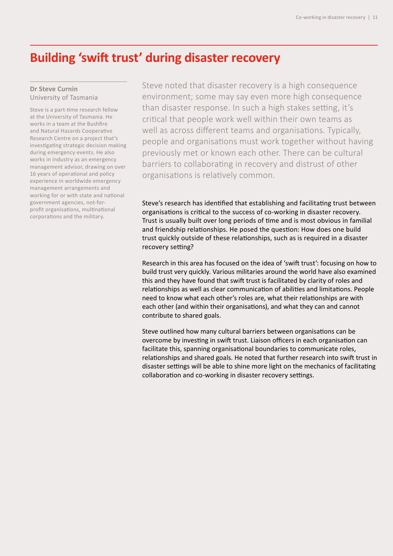# **Building 'swift trust' during disaster recovery**

## **Dr Steve Curnin** University of Tasmania

Steve is a part-time research fellow at the University of Tasmania. He works in a team at the Bushfire and Natural Hazards Cooperative Research Centre on a project that's investigating strategic decision making during emergency events. He also works in industry as an emergency management advisor, drawing on over 16 years of operational and policy experience in worldwide emergency management arrangements and working for or with state and national government agencies, not-forprofit organisations, multinational corporations and the military.

Steve noted that disaster recovery is a high consequence environment; some may say even more high consequence than disaster response. In such a high stakes setting, it's critical that people work well within their own teams as well as across different teams and organisations. Typically, people and organisations must work together without having previously met or known each other. There can be cultural barriers to collaborating in recovery and distrust of other organisations is relatively common.

Steve's research has identified that establishing and facilitating trust between organisations is critical to the success of co-working in disaster recovery. Trust is usually built over long periods of time and is most obvious in familial and friendship relationships. He posed the question: How does one build trust quickly outside of these relationships, such as is required in a disaster recovery setting?

Research in this area has focused on the idea of 'swift trust': focusing on how to build trust very quickly. Various militaries around the world have also examined this and they have found that swift trust is facilitated by clarity of roles and relationships as well as clear communication of abilities and limitations. People need to know what each other's roles are, what their relationships are with each other (and within their organisations), and what they can and cannot contribute to shared goals.

Steve outlined how many cultural barriers between organisations can be overcome by investing in swift trust. Liaison officers in each organisation can facilitate this, spanning organisational boundaries to communicate roles, relationships and shared goals. He noted that further research into swift trust in disaster settings will be able to shine more light on the mechanics of facilitating collaboration and co-working in disaster recovery settings.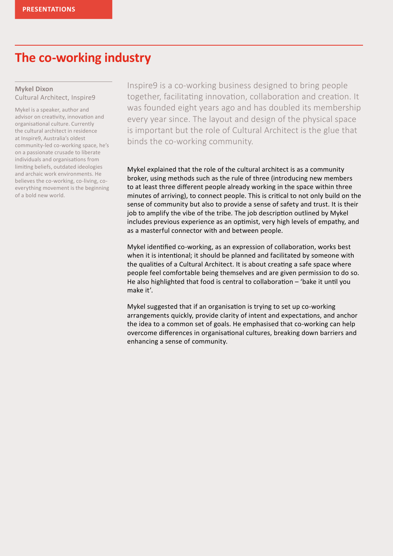# **The co-working industry**

## **Mykel Dixon** Cultural Architect, Inspire9

Mykel is a speaker, author and advisor on creativity, innovation and organisational culture. Currently the cultural architect in residence at Inspire9, Australia's oldest community-led co-working space, he's on a passionate crusade to liberate individuals and organisations from limiting beliefs, outdated ideologies and archaic work environments. He believes the co-working, co-living, coeverything movement is the beginning of a bold new world.

Inspire9 is a co-working business designed to bring people together, facilitating innovation, collaboration and creation. It was founded eight years ago and has doubled its membership every year since. The layout and design of the physical space is important but the role of Cultural Architect is the glue that binds the co-working community.

Mykel explained that the role of the cultural architect is as a community broker, using methods such as the rule of three (introducing new members to at least three different people already working in the space within three minutes of arriving), to connect people. This is critical to not only build on the sense of community but also to provide a sense of safety and trust. It is their job to amplify the vibe of the tribe. The job description outlined by Mykel includes previous experience as an optimist, very high levels of empathy, and as a masterful connector with and between people.

Mykel identified co-working, as an expression of collaboration, works best when it is intentional; it should be planned and facilitated by someone with the qualities of a Cultural Architect. It is about creating a safe space where people feel comfortable being themselves and are given permission to do so. He also highlighted that food is central to collaboration – 'bake it until you make it'.

Mykel suggested that if an organisation is trying to set up co-working arrangements quickly, provide clarity of intent and expectations, and anchor the idea to a common set of goals. He emphasised that co-working can help overcome differences in organisational cultures, breaking down barriers and enhancing a sense of community.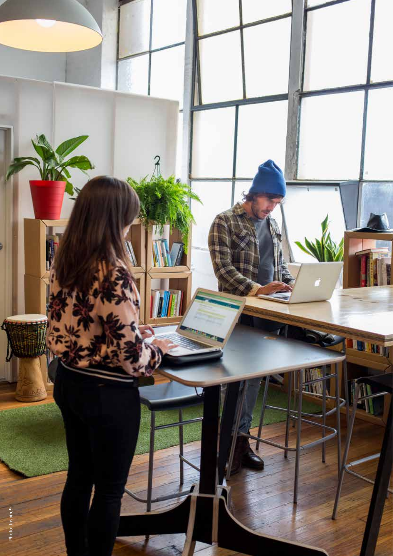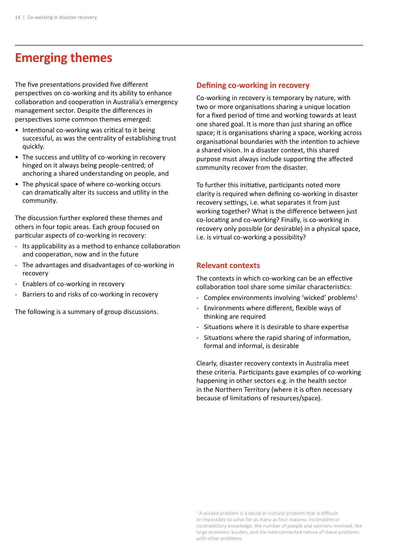# **Emerging themes**

The five presentations provided five different perspectives on co-working and its ability to enhance collaboration and cooperation in Australia's emergency management sector. Despite the differences in perspectives some common themes emerged:

- Intentional co-working was critical to it being successful, as was the centrality of establishing trust quickly.
- The success and utility of co-working in recovery hinged on it always being people-centred; of anchoring a shared understanding on people, and
- The physical space of where co-working occurs can dramatically alter its success and utility in the community.

The discussion further explored these themes and others in four topic areas. Each group focused on particular aspects of co-working in recovery:

- Its applicability as a method to enhance collaboration and cooperation, now and in the future
- The advantages and disadvantages of co-working in recovery
- Enablers of co-working in recovery
- Barriers to and risks of co-working in recovery

The following is a summary of group discussions.

## **Defining co-working in recovery**

Co-working in recovery is temporary by nature, with two or more organisations sharing a unique location for a fixed period of time and working towards at least one shared goal. It is more than just sharing an office space; it is organisations sharing a space, working across organisational boundaries with the intention to achieve a shared vision. In a disaster context, this shared purpose must always include supporting the affected community recover from the disaster.

To further this initiative, participants noted more clarity is required when defining co-working in disaster recovery settings, i.e. what separates it from just working together? What is the difference between just co-locating and co-working? Finally, is co-working in recovery only possible (or desirable) in a physical space, i.e. is virtual co-working a possibility?

## **Relevant contexts**

The contexts in which co-working can be an effective collaboration tool share some similar characteristics:

- Complex environments involving 'wicked' problems<sup>1</sup>
- Environments where different, flexible ways of thinking are required
- Situations where it is desirable to share expertise
- Situations where the rapid sharing of information, formal and informal, is desirable

Clearly, disaster recovery contexts in Australia meet these criteria. Participants gave examples of co-working happening in other sectors e.g. in the health sector in the Northern Territory (where it is often necessary because of limitations of resources/space).

 $1$  A wicked problem is a social or cultural problem that is difficult or impossible to solve for as many as four reasons: incomplete or contradictory knowledge, the number of people and opinions involved, the large economic burden, and the interconnected nature of these problems with other problems.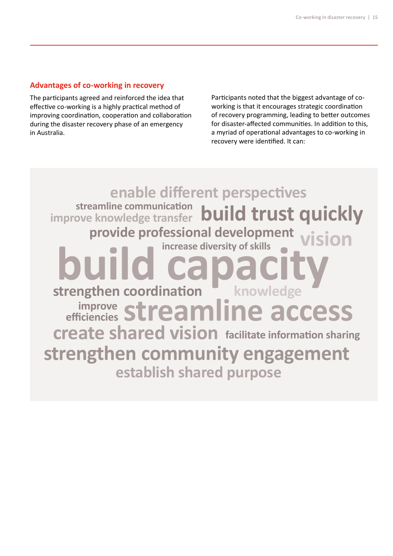# **Advantages of co-working in recovery**

The participants agreed and reinforced the idea that effective co-working is a highly practical method of improving coordination, cooperation and collaboration during the disaster recovery phase of an emergency in Australia.

Participants noted that the biggest advantage of coworking is that it encourages strategic coordination of recovery programming, leading to better outcomes for disaster-affected communities. In addition to this, a myriad of operational advantages to co-working in recovery were identified. It can:

**establish shared purpose create shared vision facilitate information sharing vision** streamline communication build trust quickly **strengthen coordination improve efficiencies streamline access streamline communication strengthen community engagement build** CapaCity **knowledge increase diversity of skills enable different perspectives provide professional development**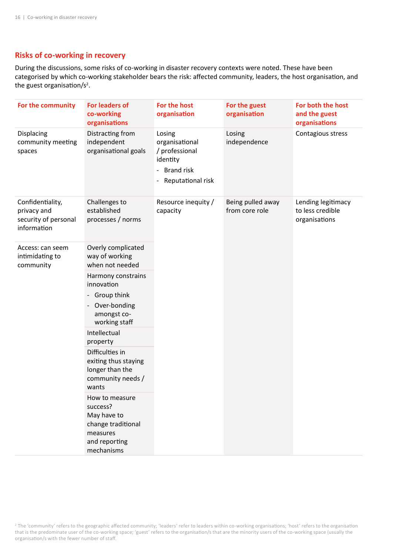# **Risks of co-working in recovery**

During the discussions, some risks of co-working in disaster recovery contexts were noted. These have been categorised by which co-working stakeholder bears the risk: affected community, leaders, the host organisation, and the guest organisation/s<sup>2</sup>.

| For the community                                                      | <b>For leaders of</b><br>co-working<br>organisations                                                                                                                                     | For the host<br>organisation                                                                | For the guest<br>organisation       | For both the host<br>and the guest<br>organisations     |
|------------------------------------------------------------------------|------------------------------------------------------------------------------------------------------------------------------------------------------------------------------------------|---------------------------------------------------------------------------------------------|-------------------------------------|---------------------------------------------------------|
| Displacing<br>community meeting<br>spaces                              | Distracting from<br>independent<br>organisational goals                                                                                                                                  | Losing<br>organisational<br>/ professional<br>identity<br>- Brand risk<br>Reputational risk | Losing<br>independence              | Contagious stress                                       |
| Confidentiality,<br>privacy and<br>security of personal<br>information | Challenges to<br>established<br>processes / norms                                                                                                                                        | Resource inequity /<br>capacity                                                             | Being pulled away<br>from core role | Lending legitimacy<br>to less credible<br>organisations |
| Access: can seem<br>intimidating to<br>community                       | Overly complicated<br>way of working<br>when not needed<br>Harmony constrains<br>innovation<br>- Group think<br>Over-bonding<br>amongst co-<br>working staff<br>Intellectual<br>property |                                                                                             |                                     |                                                         |
|                                                                        | Difficulties in<br>exiting thus staying<br>longer than the<br>community needs /<br>wants                                                                                                 |                                                                                             |                                     |                                                         |
|                                                                        | How to measure<br>success?<br>May have to<br>change traditional<br>measures<br>and reporting<br>mechanisms                                                                               |                                                                                             |                                     |                                                         |

<sup>2</sup> The 'community' refers to the geographic affected community; 'leaders' refer to leaders within co-working organisations; 'host' refers to the organisation that is the predominate user of the co-working space; 'guest' refers to the organisation/s that are the minority users of the co-working space (usually the organisation/s with the fewer number of staff.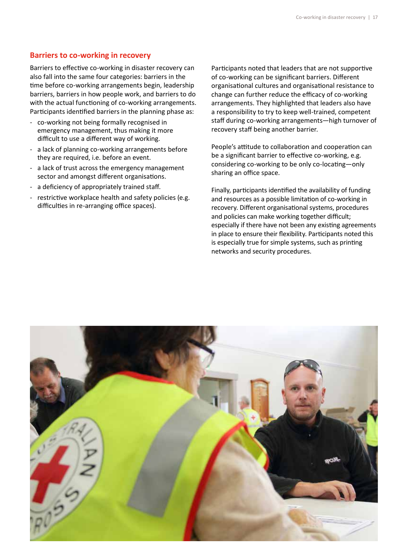## **Barriers to co-working in recovery**

Barriers to effective co-working in disaster recovery can also fall into the same four categories: barriers in the time before co-working arrangements begin, leadership barriers, barriers in how people work, and barriers to do with the actual functioning of co-working arrangements. Participants identified barriers in the planning phase as:

- co-working not being formally recognised in emergency management, thus making it more difficult to use a different way of working.
- a lack of planning co-working arrangements before they are required, i.e. before an event.
- a lack of trust across the emergency management sector and amongst different organisations.
- a deficiency of appropriately trained staff.
- restrictive workplace health and safety policies (e.g. difficulties in re-arranging office spaces).

Participants noted that leaders that are not supportive of co-working can be significant barriers. Different organisational cultures and organisational resistance to change can further reduce the efficacy of co-working arrangements. They highlighted that leaders also have a responsibility to try to keep well-trained, competent staff during co-working arrangements—high turnover of recovery staff being another barrier.

People's attitude to collaboration and cooperation can be a significant barrier to effective co-working, e.g. considering co-working to be only co-locating—only sharing an office space.

Finally, participants identified the availability of funding and resources as a possible limitation of co-working in recovery. Different organisational systems, procedures and policies can make working together difficult; especially if there have not been any existing agreements in place to ensure their flexibility. Participants noted this is especially true for simple systems, such as printing networks and security procedures.

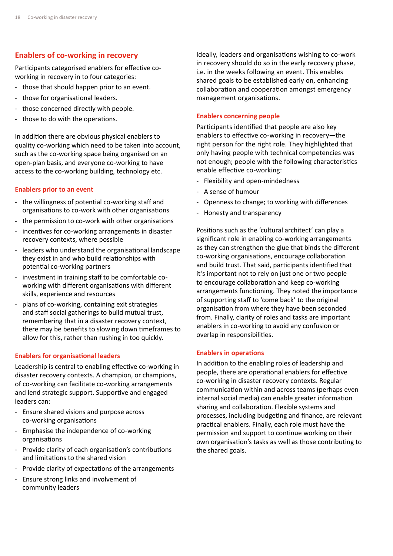# **Enablers of co-working in recovery**

Participants categorised enablers for effective coworking in recovery in to four categories:

- those that should happen prior to an event.
- those for organisational leaders.
- those concerned directly with people.
- those to do with the operations.

In addition there are obvious physical enablers to quality co-working which need to be taken into account, such as the co-working space being organised on an open-plan basis, and everyone co-working to have access to the co-working building, technology etc.

## **Enablers prior to an event**

- the willingness of potential co-working staff and organisations to co-work with other organisations
- the permission to co-work with other organisations
- incentives for co-working arrangements in disaster recovery contexts, where possible
- leaders who understand the organisational landscape they exist in and who build relationships with potential co-working partners
- investment in training staff to be comfortable coworking with different organisations with different skills, experience and resources
- plans of co-working, containing exit strategies and staff social gatherings to build mutual trust, remembering that in a disaster recovery context, there may be benefits to slowing down timeframes to allow for this, rather than rushing in too quickly.

## **Enablers for organisational leaders**

Leadership is central to enabling effective co-working in disaster recovery contexts. A champion, or champions, of co-working can facilitate co-working arrangements and lend strategic support. Supportive and engaged leaders can:

- Ensure shared visions and purpose across co-working organisations
- Emphasise the independence of co-working organisations
- Provide clarity of each organisation's contributions and limitations to the shared vision
- Provide clarity of expectations of the arrangements
- Ensure strong links and involvement of community leaders

Ideally, leaders and organisations wishing to co-work in recovery should do so in the early recovery phase, i.e. in the weeks following an event. This enables shared goals to be established early on, enhancing collaboration and cooperation amongst emergency management organisations.

## **Enablers concerning people**

Participants identified that people are also key enablers to effective co-working in recovery—the right person for the right role. They highlighted that only having people with technical competencies was not enough; people with the following characteristics enable effective co-working:

- Flexibility and open-mindedness
- A sense of humour
- Openness to change; to working with differences
- Honesty and transparency

Positions such as the 'cultural architect' can play a significant role in enabling co-working arrangements as they can strengthen the glue that binds the different co-working organisations, encourage collaboration and build trust. That said, participants identified that it's important not to rely on just one or two people to encourage collaboration and keep co-working arrangements functioning. They noted the importance of supporting staff to 'come back' to the original organisation from where they have been seconded from. Finally, clarity of roles and tasks are important enablers in co-working to avoid any confusion or overlap in responsibilities.

## **Enablers in operations**

In addition to the enabling roles of leadership and people, there are operational enablers for effective co-working in disaster recovery contexts. Regular communication within and across teams (perhaps even internal social media) can enable greater information sharing and collaboration. Flexible systems and processes, including budgeting and finance, are relevant practical enablers. Finally, each role must have the permission and support to continue working on their own organisation's tasks as well as those contributing to the shared goals.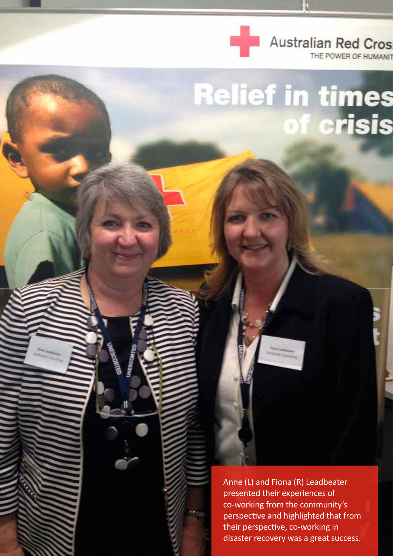

Australian Red Cros

Co-working in disaster recovery | 19

# Relief in times<br>of crisis

Anne (L) and Fiona (R) Leadbeater presented their experiences of co-working from the community's perspective and highlighted that from their perspective, co-working in disaster recovery was a great success.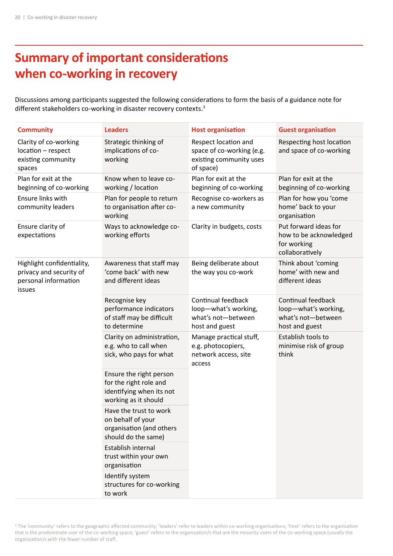# **Summary of important considerations when co-working in recovery**

Discussions among participants suggested the following considerations to form the basis of a guidance note for different stakeholders co-working in disaster recovery contexts.<sup>3</sup>

| <b>Community</b>                                                                        | <b>Leaders</b>                                                                                        | <b>Host organisation</b>                                                                  | <b>Guest organisation</b>                                                          |
|-----------------------------------------------------------------------------------------|-------------------------------------------------------------------------------------------------------|-------------------------------------------------------------------------------------------|------------------------------------------------------------------------------------|
| Clarity of co-working<br>location - respect<br>existing community<br>spaces             | Strategic thinking of<br>implications of co-<br>working                                               | Respect location and<br>space of co-working (e.g.<br>existing community uses<br>of space) | Respecting host location<br>and space of co-working                                |
| Plan for exit at the<br>beginning of co-working                                         | Know when to leave co-<br>working / location                                                          | Plan for exit at the<br>beginning of co-working                                           | Plan for exit at the<br>beginning of co-working                                    |
| <b>Ensure links with</b><br>community leaders                                           | Plan for people to return<br>to organisation after co-<br>working                                     | Recognise co-workers as<br>a new community                                                | Plan for how you 'come<br>home' back to your<br>organisation                       |
| Ensure clarity of<br>expectations                                                       | Ways to acknowledge co-<br>working efforts                                                            | Clarity in budgets, costs                                                                 | Put forward ideas for<br>how to be acknowledged<br>for working<br>collaboratively  |
| Highlight confidentiality,<br>privacy and security of<br>personal information<br>issues | Awareness that staff may<br>'come back' with new<br>and different ideas                               | Being deliberate about<br>the way you co-work                                             | Think about 'coming<br>home' with new and<br>different ideas                       |
|                                                                                         | Recognise key<br>performance indicators<br>of staff may be difficult<br>to determine                  | Continual feedback<br>loop-what's working,<br>what's not-between<br>host and guest        | Continual feedback<br>loop-what's working,<br>what's not-between<br>host and guest |
|                                                                                         | Clarity on administration,<br>e.g. who to call when<br>sick, who pays for what                        | Manage practical stuff,<br>e.g. photocopiers,<br>network access, site<br>access           | Establish tools to<br>minimise risk of group<br>think                              |
|                                                                                         | Ensure the right person<br>for the right role and<br>identifying when its not<br>working as it should |                                                                                           |                                                                                    |
|                                                                                         | Have the trust to work<br>on behalf of your<br>organisation (and others<br>should do the same)        |                                                                                           |                                                                                    |
|                                                                                         | Establish internal<br>trust within your own<br>organisation                                           |                                                                                           |                                                                                    |
|                                                                                         | Identify system<br>structures for co-working<br>to work                                               |                                                                                           |                                                                                    |

<sup>3</sup> The 'community' refers to the geographic affected community; 'leaders' refer to leaders within co-working organisations; 'host' refers to the organisation that is the predominate user of the co-working space; 'guest' refers to the organisation/s that are the minority users of the co-working space (usually the organisation/s with the fewer number of staff.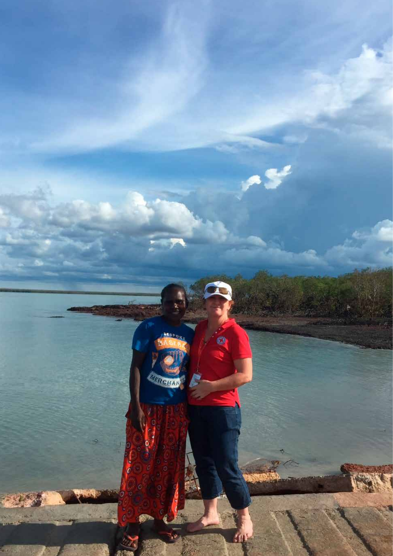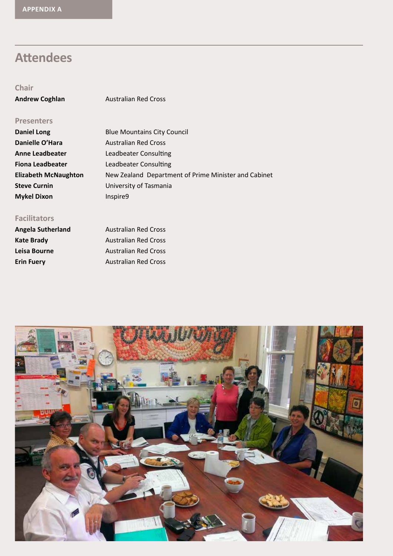# **Attendees**

# **Chair**

**Andrew Coghlan Australian Red Cross** 

# **Presenters**

| <b>Daniel Long</b>          | <b>Blue Mountains City Council</b>                   |
|-----------------------------|------------------------------------------------------|
| Danielle O'Hara             | <b>Australian Red Cross</b>                          |
| <b>Anne Leadbeater</b>      | Leadbeater Consulting                                |
| <b>Fiona Leadbeater</b>     | Leadbeater Consulting                                |
| <b>Elizabeth McNaughton</b> | New Zealand Department of Prime Minister and Cabinet |
| <b>Steve Curnin</b>         | University of Tasmania                               |
| <b>Mykel Dixon</b>          | Inspire9                                             |

# **Facilitators**

| <b>Australian Red Cross</b> |
|-----------------------------|
| <b>Australian Red Cross</b> |
| <b>Australian Red Cross</b> |
| <b>Australian Red Cross</b> |
|                             |

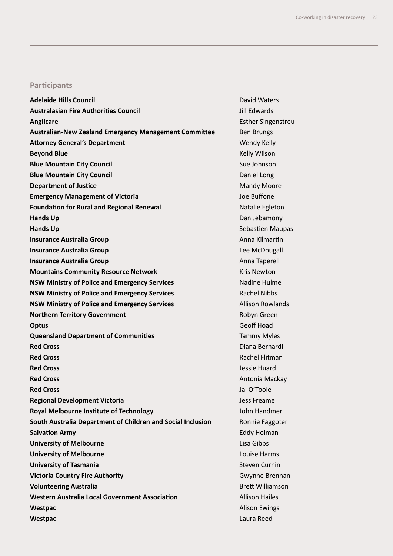# **Participants**

| <b>Adelaide Hills Council</b>                                | David Waters              |
|--------------------------------------------------------------|---------------------------|
| <b>Australasian Fire Authorities Council</b>                 | <b>Jill Edwards</b>       |
| <b>Anglicare</b>                                             | <b>Esther Singenstreu</b> |
| <b>Australian-New Zealand Emergency Management Committee</b> | <b>Ben Brungs</b>         |
| <b>Attorney General's Department</b>                         | Wendy Kelly               |
| <b>Beyond Blue</b>                                           | Kelly Wilson              |
| <b>Blue Mountain City Council</b>                            | Sue Johnson               |
| <b>Blue Mountain City Council</b>                            | Daniel Long               |
| <b>Department of Justice</b>                                 | <b>Mandy Moore</b>        |
| <b>Emergency Management of Victoria</b>                      | Joe Buffone               |
| <b>Foundation for Rural and Regional Renewal</b>             | Natalie Egleton           |
| <b>Hands Up</b>                                              | Dan Jebamony              |
| <b>Hands Up</b>                                              | Sebastien Maupas          |
| <b>Insurance Australia Group</b>                             | Anna Kilmartin            |
| <b>Insurance Australia Group</b>                             | Lee McDougall             |
| <b>Insurance Australia Group</b>                             | Anna Taperell             |
| <b>Mountains Community Resource Network</b>                  | <b>Kris Newton</b>        |
| <b>NSW Ministry of Police and Emergency Services</b>         | Nadine Hulme              |
| <b>NSW Ministry of Police and Emergency Services</b>         | <b>Rachel Nibbs</b>       |
| <b>NSW Ministry of Police and Emergency Services</b>         | <b>Allison Rowlands</b>   |
| <b>Northern Territory Government</b>                         | Robyn Green               |
| <b>Optus</b>                                                 | <b>Geoff Hoad</b>         |
| <b>Queensland Department of Communities</b>                  | <b>Tammy Myles</b>        |
| <b>Red Cross</b>                                             | Diana Bernardi            |
| <b>Red Cross</b>                                             | <b>Rachel Flitman</b>     |
| <b>Red Cross</b>                                             | Jessie Huard              |
| <b>Red Cross</b>                                             | Antonia Mackay            |
| <b>Red Cross</b>                                             | Jai O'Toole               |
| <b>Regional Development Victoria</b>                         | Jess Freame               |
| <b>Royal Melbourne Institute of Technology</b>               | John Handmer              |
| South Australia Department of Children and Social Inclusion  | Ronnie Faggoter           |
| <b>Salvation Army</b>                                        | <b>Eddy Holman</b>        |
| <b>University of Melbourne</b>                               | Lisa Gibbs                |
| <b>University of Melbourne</b>                               | Louise Harms              |
| <b>University of Tasmania</b>                                | <b>Steven Curnin</b>      |
| <b>Victoria Country Fire Authority</b>                       | Gwynne Brennan            |
| <b>Volunteering Australia</b>                                | <b>Brett Williamson</b>   |
| Western Australia Local Government Association               | <b>Allison Hailes</b>     |
| Westpac                                                      | <b>Alison Ewings</b>      |
| Westpac                                                      | Laura Reed                |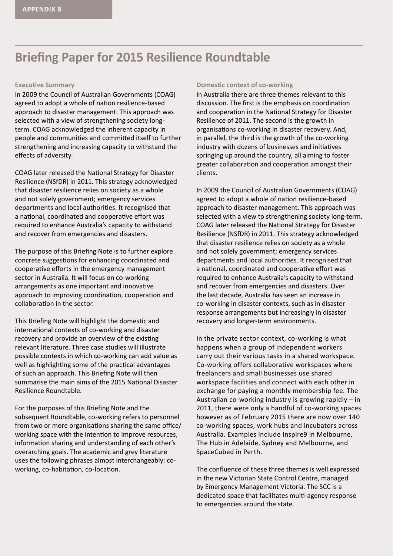# **Briefing Paper for 2015 Resilience Roundtable**

### **Executive Summary**

In 2009 the Council of Australian Governments (COAG) agreed to adopt a whole of nation resilience-based approach to disaster management. This approach was selected with a view of strengthening society longterm. COAG acknowledged the inherent capacity in people and communities and committed itself to further strengthening and increasing capacity to withstand the effects of adversity.

COAG later released the National Strategy for Disaster Resilience (NSfDR) in 2011. This strategy acknowledged that disaster resilience relies on society as a whole and not solely government; emergency services departments and local authorities. It recognised that a national, coordinated and cooperative effort was required to enhance Australia's capacity to withstand and recover from emergencies and disasters.

The purpose of this Briefing Note is to further explore concrete suggestions for enhancing coordinated and cooperative efforts in the emergency management sector in Australia. It will focus on co-working arrangements as one important and innovative approach to improving coordination, cooperation and collaboration in the sector.

This Briefing Note will highlight the domestic and international contexts of co-working and disaster recovery and provide an overview of the existing relevant literature. Three case studies will illustrate possible contexts in which co-working can add value as well as highlighting some of the practical advantages of such an approach. This Briefing Note will then summarise the main aims of the 2015 National Disaster Resilience Roundtable.

For the purposes of this Briefing Note and the subsequent Roundtable, co-working refers to personnel from two or more organisations sharing the same office/ working space with the intention to improve resources, information sharing and understanding of each other's overarching goals. The academic and grey literature uses the following phrases almost interchangeably: coworking, co-habitation, co-location.

### **Domestic context of co-working**

In Australia there are three themes relevant to this discussion. The first is the emphasis on coordination and cooperation in the National Strategy for Disaster Resilience of 2011. The second is the growth in organisations co-working in disaster recovery. And, in parallel, the third is the growth of the co-working industry with dozens of businesses and initiatives springing up around the country, all aiming to foster greater collaboration and cooperation amongst their clients.

In 2009 the Council of Australian Governments (COAG) agreed to adopt a whole of nation resilience-based approach to disaster management. This approach was selected with a view to strengthening society long-term. COAG later released the National Strategy for Disaster Resilience (NSfDR) in 2011. This strategy acknowledged that disaster resilience relies on society as a whole and not solely government; emergency services departments and local authorities. It recognised that a national, coordinated and cooperative effort was required to enhance Australia's capacity to withstand and recover from emergencies and disasters. Over the last decade, Australia has seen an increase in co-working in disaster contexts, such as in disaster response arrangements but increasingly in disaster recovery and longer-term environments.

In the private sector context, co-working is what happens when a group of independent workers carry out their various tasks in a shared workspace. Co-working offers collaborative workspaces where freelancers and small businesses use shared workspace facilities and connect with each other in exchange for paying a monthly membership fee. The Australian co-working industry is growing rapidly – in 2011, there were only a handful of co-working spaces however as of February 2015 there are now over 140 co-working spaces, work hubs and incubators across Australia. Examples include Inspire9 in Melbourne, The Hub in Adelaide, Sydney and Melbourne, and SpaceCubed in Perth.

The confluence of these three themes is well expressed in the new Victorian State Control Centre, managed by Emergency Management Victoria. The SCC is a dedicated space that facilitates multi-agency response to emergencies around the state.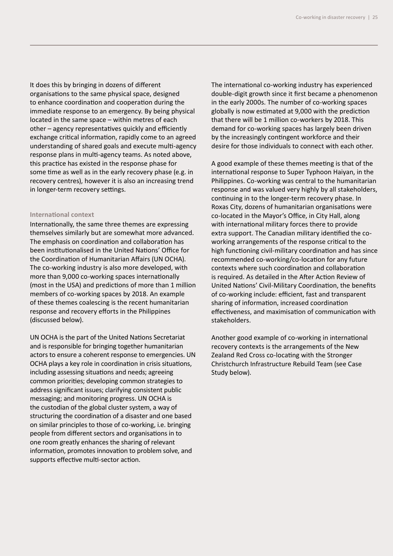It does this by bringing in dozens of different organisations to the same physical space, designed to enhance coordination and cooperation during the immediate response to an emergency. By being physical located in the same space – within metres of each other – agency representatives quickly and efficiently exchange critical information, rapidly come to an agreed understanding of shared goals and execute multi-agency response plans in multi-agency teams. As noted above, this practice has existed in the response phase for some time as well as in the early recovery phase (e.g. in recovery centres), however it is also an increasing trend in longer-term recovery settings.

### **International context**

Internationally, the same three themes are expressing themselves similarly but are somewhat more advanced. The emphasis on coordination and collaboration has been institutionalised in the United Nations' Office for the Coordination of Humanitarian Affairs (UN OCHA). The co-working industry is also more developed, with more than 9,000 co-working spaces internationally (most in the USA) and predictions of more than 1 million members of co-working spaces by 2018. An example of these themes coalescing is the recent humanitarian response and recovery efforts in the Philippines (discussed below).

UN OCHA is the part of the United Nations Secretariat and is responsible for bringing together humanitarian actors to ensure a coherent response to emergencies. UN OCHA plays a key role in coordination in crisis situations, including assessing situations and needs; agreeing common priorities; developing common strategies to address significant issues; clarifying consistent public messaging; and monitoring progress. UN OCHA is the custodian of the global cluster system, a way of structuring the coordination of a disaster and one based on similar principles to those of co-working, i.e. bringing people from different sectors and organisations in to one room greatly enhances the sharing of relevant information, promotes innovation to problem solve, and supports effective multi-sector action.

The international co-working industry has experienced double-digit growth since it first became a phenomenon in the early 2000s. The number of co-working spaces globally is now estimated at 9,000 with the prediction that there will be 1 million co-workers by 2018. This demand for co-working spaces has largely been driven by the increasingly contingent workforce and their desire for those individuals to connect with each other.

A good example of these themes meeting is that of the international response to Super Typhoon Haiyan, in the Philippines. Co-working was central to the humanitarian response and was valued very highly by all stakeholders, continuing in to the longer-term recovery phase. In Roxas City, dozens of humanitarian organisations were co-located in the Mayor's Office, in City Hall, along with international military forces there to provide extra support. The Canadian military identified the coworking arrangements of the response critical to the high functioning civil-military coordination and has since recommended co-working/co-location for any future contexts where such coordination and collaboration is required. As detailed in the After Action Review of United Nations' Civil-Military Coordination, the benefits of co-working include: efficient, fast and transparent sharing of information, increased coordination effectiveness, and maximisation of communication with stakeholders.

Another good example of co-working in international recovery contexts is the arrangements of the New Zealand Red Cross co-locating with the Stronger Christchurch Infrastructure Rebuild Team (see Case Study below).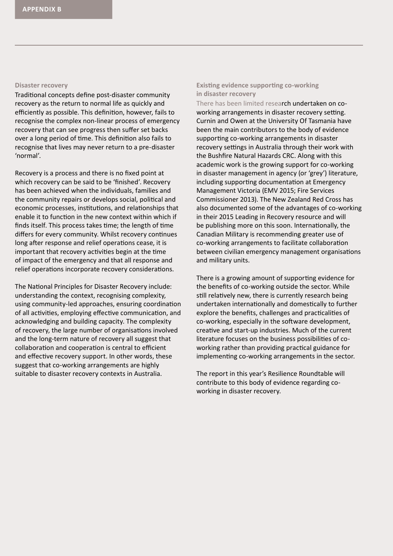26 | Co-working in disaster recovery

#### **Disaster recovery**

Traditional concepts define post-disaster community recovery as the return to normal life as quickly and efficiently as possible. This definition, however, fails to recognise the complex non-linear process of emergency recovery that can see progress then suffer set backs over a long period of time. This definition also fails to recognise that lives may never return to a pre-disaster 'normal'.

Recovery is a process and there is no fixed point at which recovery can be said to be 'finished'. Recovery has been achieved when the individuals, families and the community repairs or develops social, political and economic processes, institutions, and relationships that enable it to function in the new context within which if finds itself. This process takes time; the length of time differs for every community. Whilst recovery continues long after response and relief operations cease, it is important that recovery activities begin at the time of impact of the emergency and that all response and relief operations incorporate recovery considerations.

The National Principles for Disaster Recovery include: understanding the context, recognising complexity, using community-led approaches, ensuring coordination of all activities, employing effective communication, and acknowledging and building capacity. The complexity of recovery, the large number of organisations involved and the long-term nature of recovery all suggest that collaboration and cooperation is central to efficient and effective recovery support. In other words, these suggest that co-working arrangements are highly suitable to disaster recovery contexts in Australia.

## **Existing evidence supporting co-working in disaster recovery**

There has been limited research undertaken on coworking arrangements in disaster recovery setting. Curnin and Owen at the University Of Tasmania have been the main contributors to the body of evidence supporting co-working arrangements in disaster recovery settings in Australia through their work with the Bushfire Natural Hazards CRC. Along with this academic work is the growing support for co-working in disaster management in agency (or 'grey') literature, including supporting documentation at Emergency Management Victoria (EMV 2015; Fire Services Commissioner 2013). The New Zealand Red Cross has also documented some of the advantages of co-working in their 2015 Leading in Recovery resource and will be publishing more on this soon. Internationally, the Canadian Military is recommending greater use of co-working arrangements to facilitate collaboration between civilian emergency management organisations and military units.

There is a growing amount of supporting evidence for the benefits of co-working outside the sector. While still relatively new, there is currently research being undertaken internationally and domestically to further explore the benefits, challenges and practicalities of co-working, especially in the software development, creative and start-up industries. Much of the current literature focuses on the business possibilities of coworking rather than providing practical guidance for implementing co-working arrangements in the sector.

The report in this year's Resilience Roundtable will contribute to this body of evidence regarding coworking in disaster recovery.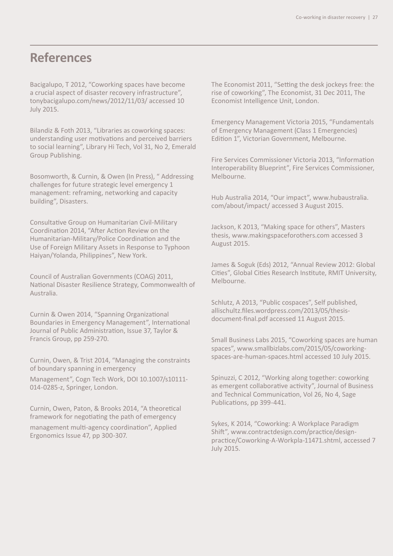# **References**

Bacigalupo, T 2012, "Coworking spaces have become a crucial aspect of disaster recovery infrastructure", tonybacigalupo.com/news/2012/11/03/ accessed 10 July 2015.

Bilandiz & Foth 2013, "Libraries as coworking spaces: understanding user motivations and perceived barriers to social learning", Library Hi Tech, Vol 31, No 2, Emerald Group Publishing.

Bosomworth, & Curnin, & Owen (In Press), " Addressing challenges for future strategic level emergency 1 management: reframing, networking and capacity building", Disasters.

Consultative Group on Humanitarian Civil-Military Coordination 2014, "After Action Review on the Humanitarian-Military/Police Coordination and the Use of Foreign Military Assets in Response to Typhoon Haiyan/Yolanda, Philippines", New York.

Council of Australian Governments (COAG) 2011, National Disaster Resilience Strategy, Commonwealth of Australia.

Curnin & Owen 2014, "Spanning Organizational Boundaries in Emergency Management", International Journal of Public Administration, Issue 37, Taylor & Francis Group, pp 259-270.

Curnin, Owen, & Trist 2014, "Managing the constraints of boundary spanning in emergency

Management", Cogn Tech Work, DOI 10.1007/s10111- 014-0285-z, Springer, London.

Curnin, Owen, Paton, & Brooks 2014, "A theoretical framework for negotiating the path of emergency management multi-agency coordination", Applied Ergonomics Issue 47, pp 300-307.

The Economist 2011, "Setting the desk jockeys free: the rise of coworking", The Economist, 31 Dec 2011, The Economist Intelligence Unit, London.

Emergency Management Victoria 2015, "Fundamentals of Emergency Management (Class 1 Emergencies) Edition 1", Victorian Government, Melbourne.

Fire Services Commissioner Victoria 2013, "Information Interoperability Blueprint", Fire Services Commissioner, Melbourne.

Hub Australia 2014, "Our impact", www.hubaustralia. com/about/impact/ accessed 3 August 2015.

Jackson, K 2013, "Making space for others", Masters thesis, www.makingspaceforothers.com accessed 3 August 2015.

James & Soguk (Eds) 2012, "Annual Review 2012: Global Cities", Global Cities Research Institute, RMIT University, Melbourne.

Schlutz, A 2013, "Public cospaces", Self published, allischultz.files.wordpress.com/2013/05/thesisdocument-final.pdf accessed 11 August 2015.

Small Business Labs 2015, "Coworking spaces are human spaces", www.smallbizlabs.com/2015/05/coworkingspaces-are-human-spaces.html accessed 10 July 2015.

Spinuzzi, C 2012, "Working along together: coworking as emergent collaborative activity", Journal of Business and Technical Communication, Vol 26, No 4, Sage Publications, pp 399-441.

Sykes, K 2014, "Coworking: A Workplace Paradigm Shift", www.contractdesign.com/practice/designpractice/Coworking-A-Workpla-11471.shtml, accessed 7 July 2015.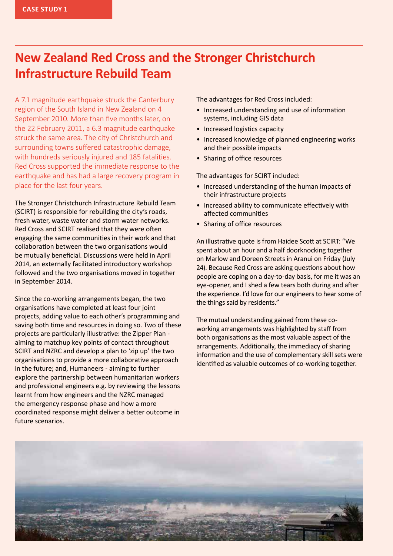28 | Co-working in disaster recovery

# **New Zealand Red Cross and the Stronger Christchurch Infrastructure Rebuild Team**

A 7.1 magnitude earthquake struck the Canterbury region of the South Island in New Zealand on 4 September 2010. More than five months later, on the 22 February 2011, a 6.3 magnitude earthquake struck the same area. The city of Christchurch and surrounding towns suffered catastrophic damage, with hundreds seriously injured and 185 fatalities. Red Cross supported the immediate response to the earthquake and has had a large recovery program in place for the last four years.

The Stronger Christchurch Infrastructure Rebuild Team (SCIRT) is responsible for rebuilding the city's roads, fresh water, waste water and storm water networks. Red Cross and SCIRT realised that they were often engaging the same communities in their work and that collaboration between the two organisations would be mutually beneficial. Discussions were held in April 2014, an externally facilitated introductory workshop followed and the two organisations moved in together in September 2014.

Since the co-working arrangements began, the two organisations have completed at least four joint projects, adding value to each other's programming and saving both time and resources in doing so. Two of these projects are particularly illustrative: the Zipper Plan aiming to matchup key points of contact throughout SCIRT and NZRC and develop a plan to 'zip up' the two organisations to provide a more collaborative approach in the future; and, Humaneers - aiming to further explore the partnership between humanitarian workers and professional engineers e.g. by reviewing the lessons learnt from how engineers and the NZRC managed the emergency response phase and how a more coordinated response might deliver a better outcome in future scenarios.

The advantages for Red Cross included:

- Increased understanding and use of information systems, including GIS data
- Increased logistics capacity
- Increased knowledge of planned engineering works and their possible impacts
- Sharing of office resources

The advantages for SCIRT included:

- Increased understanding of the human impacts of their infrastructure projects
- Increased ability to communicate effectively with affected communities
- Sharing of office resources

An illustrative quote is from Haidee Scott at SCIRT: "We spent about an hour and a half doorknocking together on Marlow and Doreen Streets in Aranui on Friday (July 24). Because Red Cross are asking questions about how people are coping on a day-to-day basis, for me it was an eye-opener, and I shed a few tears both during and after the experience. I'd love for our engineers to hear some of the things said by residents."

The mutual understanding gained from these coworking arrangements was highlighted by staff from both organisations as the most valuable aspect of the arrangements. Additionally, the immediacy of sharing information and the use of complementary skill sets were identified as valuable outcomes of co-working together.

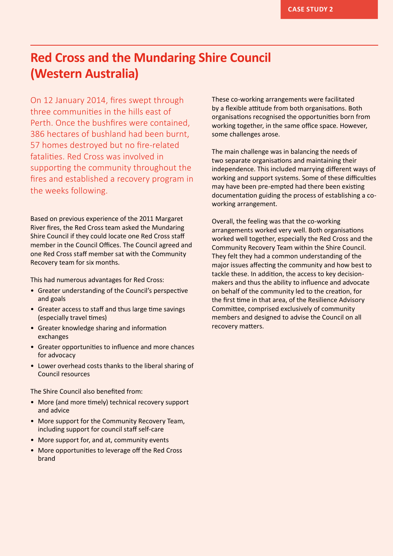# **Red Cross and the Mundaring Shire Council (Western Australia)**

On 12 January 2014, fires swept through three communities in the hills east of Perth. Once the bushfires were contained, 386 hectares of bushland had been burnt, 57 homes destroyed but no fire-related fatalities. Red Cross was involved in supporting the community throughout the fires and established a recovery program in the weeks following.

Based on previous experience of the 2011 Margaret River fires, the Red Cross team asked the Mundaring Shire Council if they could locate one Red Cross staff member in the Council Offices. The Council agreed and one Red Cross staff member sat with the Community Recovery team for six months.

This had numerous advantages for Red Cross:

- Greater understanding of the Council's perspective and goals
- Greater access to staff and thus large time savings (especially travel times)
- Greater knowledge sharing and information exchanges
- Greater opportunities to influence and more chances for advocacy
- Lower overhead costs thanks to the liberal sharing of Council resources

The Shire Council also benefited from:

- More (and more timely) technical recovery support and advice
- More support for the Community Recovery Team, including support for council staff self-care
- More support for, and at, community events
- More opportunities to leverage off the Red Cross brand

These co-working arrangements were facilitated by a flexible attitude from both organisations. Both organisations recognised the opportunities born from working together, in the same office space. However, some challenges arose.

The main challenge was in balancing the needs of two separate organisations and maintaining their independence. This included marrying different ways of working and support systems. Some of these difficulties may have been pre-empted had there been existing documentation guiding the process of establishing a coworking arrangement.

Overall, the feeling was that the co-working arrangements worked very well. Both organisations worked well together, especially the Red Cross and the Community Recovery Team within the Shire Council. They felt they had a common understanding of the major issues affecting the community and how best to tackle these. In addition, the access to key decisionmakers and thus the ability to influence and advocate on behalf of the community led to the creation, for the first time in that area, of the Resilience Advisory Committee, comprised exclusively of community members and designed to advise the Council on all recovery matters.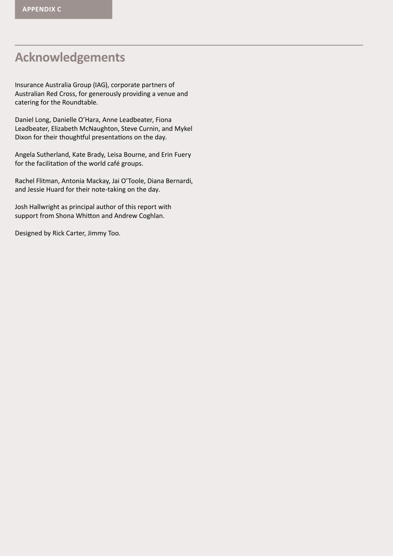# **Acknowledgements**

Insurance Australia Group (IAG), corporate partners of Australian Red Cross, for generously providing a venue and catering for the Roundtable.

Daniel Long, Danielle O'Hara, Anne Leadbeater, Fiona Leadbeater, Elizabeth McNaughton, Steve Curnin, and Mykel Dixon for their thoughtful presentations on the day.

Angela Sutherland, Kate Brady, Leisa Bourne, and Erin Fuery for the facilitation of the world café groups.

Rachel Flitman, Antonia Mackay, Jai O'Toole, Diana Bernardi, and Jessie Huard for their note-taking on the day.

Josh Hallwright as principal author of this report with support from Shona Whitton and Andrew Coghlan.

Designed by Rick Carter, Jimmy Too.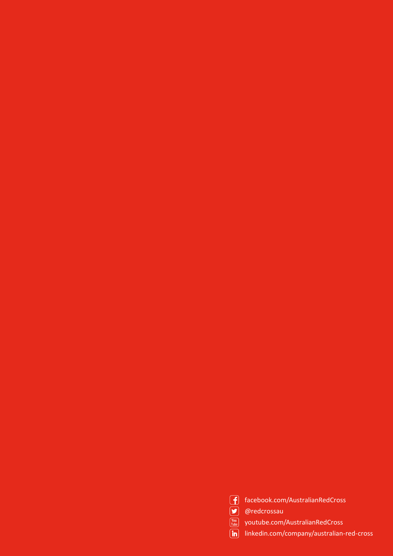- facebook.com/AustralianRedCross
- **9** @redcrossau
- $\begin{bmatrix} \gamma_{\text{ou}} \\ \gamma_{\text{uhe}} \end{bmatrix}$  youtube.com/AustralianRedCross
- $\boxed{\mathbf{in}}$  linkedin.com/company/australian-red-cross